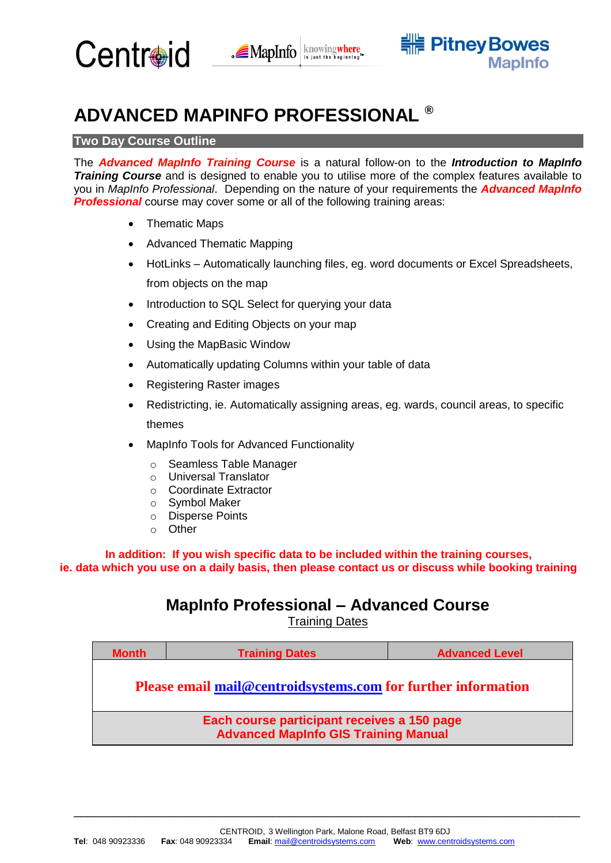



# **ADVANCED MAPINFO PROFESSIONAL ®**

# **Two Day Course Outline**

The *Advanced MapInfo Training Course* is a natural follow-on to the *Introduction to MapInfo Training Course* and is designed to enable you to utilise more of the complex features available to you in *MapInfo Professional*. Depending on the nature of your requirements the *Advanced MapInfo*  **Professional** course may cover some or all of the following training areas:

- Thematic Maps
- Advanced Thematic Mapping
- HotLinks Automatically launching files, eg. word documents or Excel Spreadsheets, from objects on the map
- Introduction to SQL Select for querying your data
- Creating and Editing Objects on your map
- Using the MapBasic Window
- Automatically updating Columns within your table of data
- Registering Raster images
- Redistricting, ie. Automatically assigning areas, eg. wards, council areas, to specific themes
- MapInfo Tools for Advanced Functionality
	- o Seamless Table Manager
	- o Universal Translator
	- o Coordinate Extractor
	- o Symbol Maker
	- o Disperse Points
	- o Other

**In addition: If you wish specific data to be included within the training courses, ie. data which you use on a daily basis, then please contact us or discuss while booking training**

# **MapInfo Professional – Advanced Course**

Training Dates

| <b>Month</b>                                                                               | <b>Training Dates</b> | <b>Advanced Level</b> |
|--------------------------------------------------------------------------------------------|-----------------------|-----------------------|
| <b>Please email mail@centroidsystems.com for further information</b>                       |                       |                       |
| Each course participant receives a 150 page<br><b>Advanced MapInfo GIS Training Manual</b> |                       |                       |

\_\_\_\_\_\_\_\_\_\_\_\_\_\_\_\_\_\_\_\_\_\_\_\_\_\_\_\_\_\_\_\_\_\_\_\_\_\_\_\_\_\_\_\_\_\_\_\_\_\_\_\_\_\_\_\_\_\_\_\_\_\_\_\_\_\_\_\_\_\_\_\_\_\_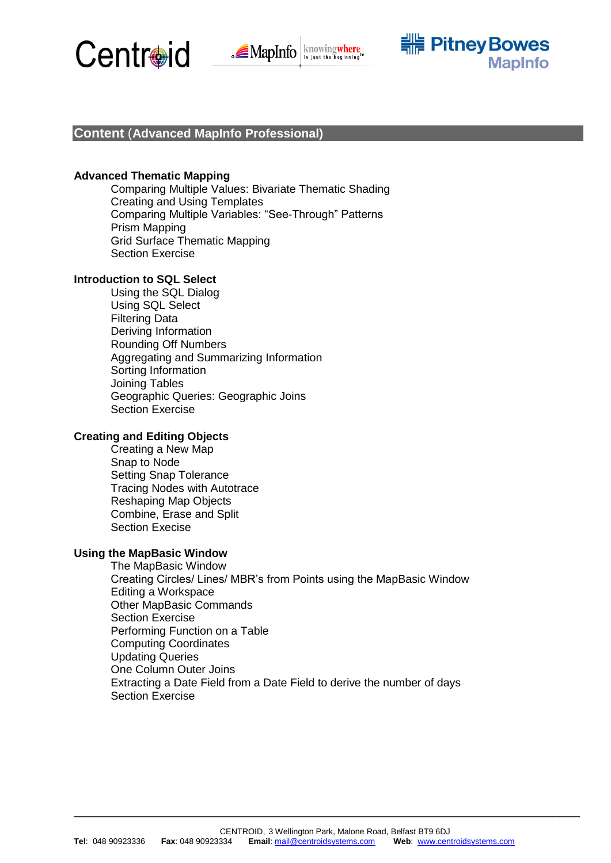





# **Content** (**Advanced MapInfo Professional)**

# **Advanced Thematic Mapping**

Comparing Multiple Values: Bivariate Thematic Shading Creating and Using Templates Comparing Multiple Variables: "See-Through" Patterns Prism Mapping Grid Surface Thematic Mapping Section Exercise

## **Introduction to SQL Select**

Using the SQL Dialog Using SQL Select Filtering Data Deriving Information Rounding Off Numbers Aggregating and Summarizing Information Sorting Information Joining Tables Geographic Queries: Geographic Joins Section Exercise

# **Creating and Editing Objects**

Creating a New Map Snap to Node Setting Snap Tolerance Tracing Nodes with Autotrace Reshaping Map Objects Combine, Erase and Split Section Execise

# **Using the MapBasic Window**

The MapBasic Window Creating Circles/ Lines/ MBR's from Points using the MapBasic Window Editing a Workspace Other MapBasic Commands Section Exercise Performing Function on a Table Computing Coordinates Updating Queries One Column Outer Joins Extracting a Date Field from a Date Field to derive the number of days Section Exercise

\_\_\_\_\_\_\_\_\_\_\_\_\_\_\_\_\_\_\_\_\_\_\_\_\_\_\_\_\_\_\_\_\_\_\_\_\_\_\_\_\_\_\_\_\_\_\_\_\_\_\_\_\_\_\_\_\_\_\_\_\_\_\_\_\_\_\_\_\_\_\_\_\_\_